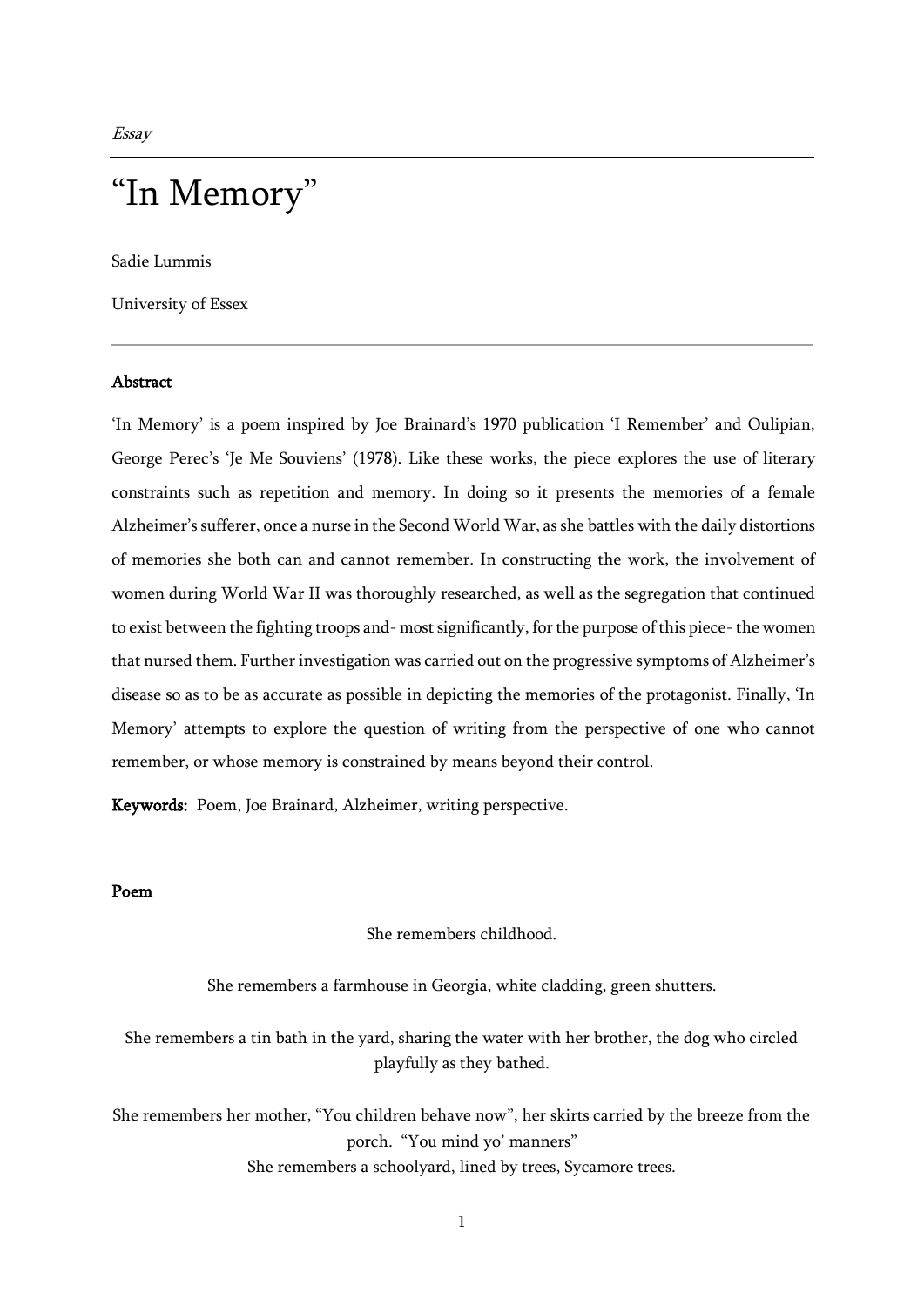Sadie Lummis

University of Essex

### Abstract

'In Memory' is a poem inspired by Joe Brainard's 1970 publication 'I Remember' and Oulipian, George Perec's 'Je Me Souviens' (1978). Like these works, the piece explores the use of literary constraints such as repetition and memory. In doing so it presents the memories of a female Alzheimer's sufferer, once a nurse in the Second World War, as she battles with the daily distortions of memories she both can and cannot remember. In constructing the work, the involvement of women during World War II was thoroughly researched, as well as the segregation that continued to exist between the fighting troops and- most significantly, for the purpose of this piece-the women that nursed them. Further investigation was carried out on the progressive symptoms of Alzheimer's disease so as to be as accurate as possible in depicting the memories of the protagonist. Finally, 'In Memory' attempts to explore the question of writing from the perspective of one who cannot remember, or whose memory is constrained by means beyond their control.

Keywords: Poem, Joe Brainard, Alzheimer, writing perspective.

#### Poem

#### She remembers childhood.

She remembers a farmhouse in Georgia, white cladding, green shutters.

She remembers a tin bath in the yard, sharing the water with her brother, the dog who circled playfully as they bathed.

She remembers her mother, "You children behave now", her skirts carried by the breeze from the porch. "You mind yo' manners" She remembers a schoolyard, lined by trees, Sycamore trees.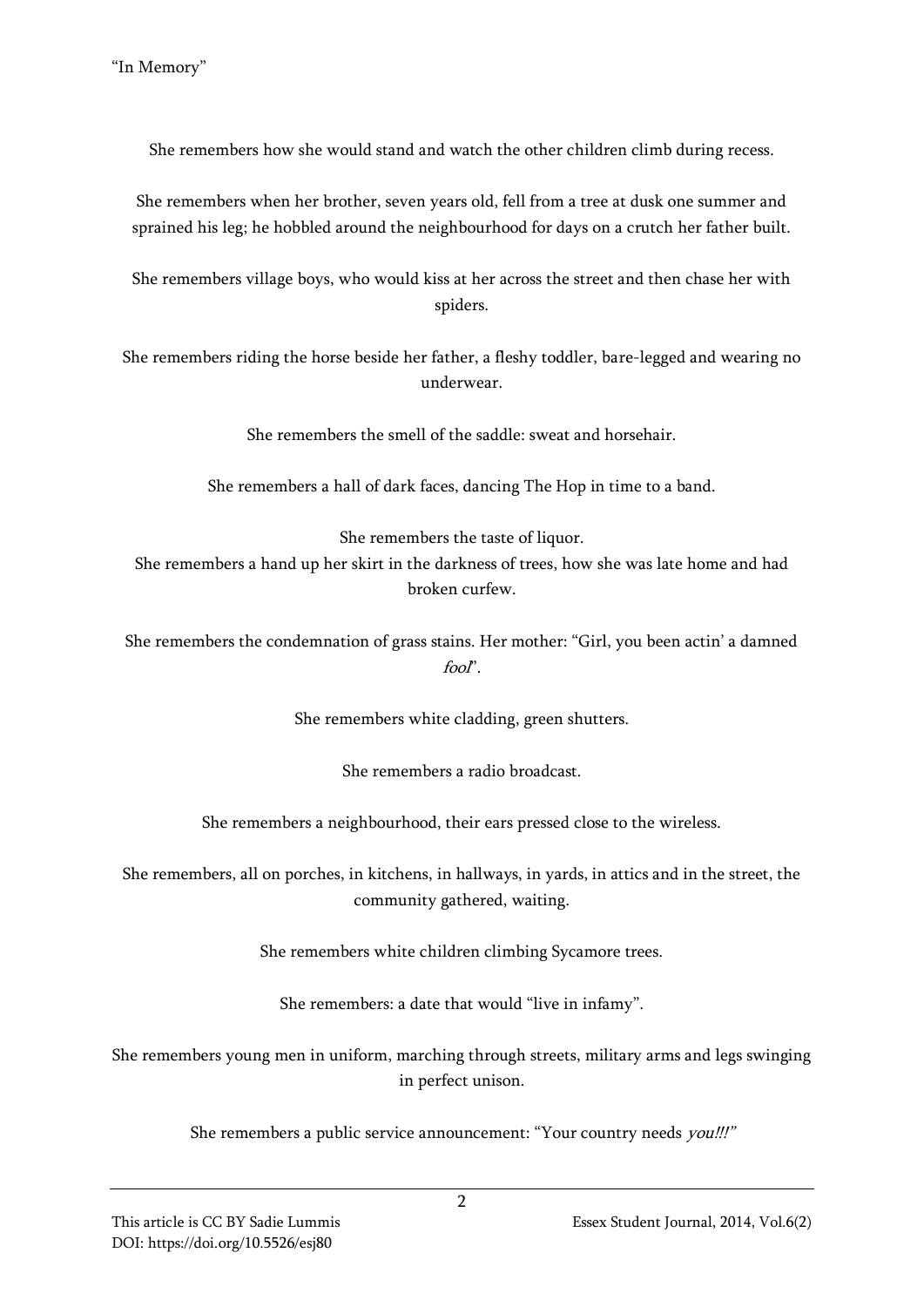She remembers how she would stand and watch the other children climb during recess.

She remembers when her brother, seven years old, fell from a tree at dusk one summer and sprained his leg; he hobbled around the neighbourhood for days on a crutch her father built.

She remembers village boys, who would kiss at her across the street and then chase her with spiders.

She remembers riding the horse beside her father, a fleshy toddler, bare-legged and wearing no underwear.

She remembers the smell of the saddle: sweat and horsehair.

She remembers a hall of dark faces, dancing The Hop in time to a band.

She remembers the taste of liquor. She remembers a hand up her skirt in the darkness of trees, how she was late home and had broken curfew.

She remembers the condemnation of grass stains. Her mother: "Girl, you been actin' a damned fool".

She remembers white cladding, green shutters.

She remembers a radio broadcast.

She remembers a neighbourhood, their ears pressed close to the wireless.

She remembers, all on porches, in kitchens, in hallways, in yards, in attics and in the street, the community gathered, waiting.

She remembers white children climbing Sycamore trees.

She remembers: a date that would "live in infamy".

She remembers young men in uniform, marching through streets, military arms and legs swinging in perfect unison.

She remembers a public service announcement: "Your country needs *you!!!"*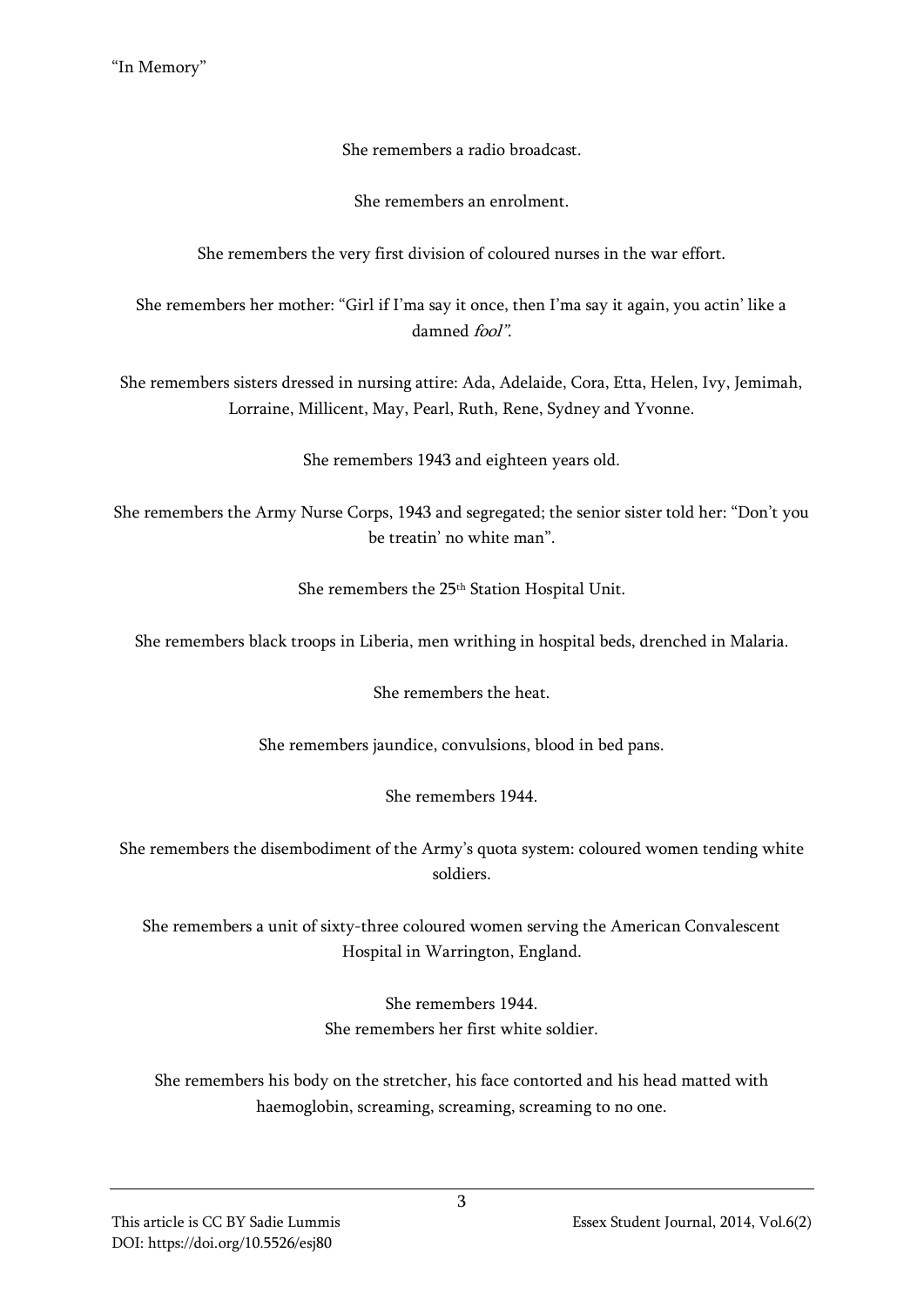She remembers a radio broadcast.

She remembers an enrolment.

She remembers the very first division of coloured nurses in the war effort.

She remembers her mother: "Girl if I'ma say it once, then I'ma say it again, you actin' like a damned fool".

She remembers sisters dressed in nursing attire: Ada, Adelaide, Cora, Etta, Helen, Ivy, Jemimah, Lorraine, Millicent, May, Pearl, Ruth, Rene, Sydney and Yvonne.

She remembers 1943 and eighteen years old.

She remembers the Army Nurse Corps, 1943 and segregated; the senior sister told her: "Don't you be treatin' no white man".

She remembers the 25th Station Hospital Unit.

She remembers black troops in Liberia, men writhing in hospital beds, drenched in Malaria.

She remembers the heat.

She remembers jaundice, convulsions, blood in bed pans.

She remembers 1944.

She remembers the disembodiment of the Army's quota system: coloured women tending white soldiers.

She remembers a unit of sixty-three coloured women serving the American Convalescent Hospital in Warrington, England.

> She remembers 1944. She remembers her first white soldier.

She remembers his body on the stretcher, his face contorted and his head matted with haemoglobin, screaming, screaming, screaming to no one.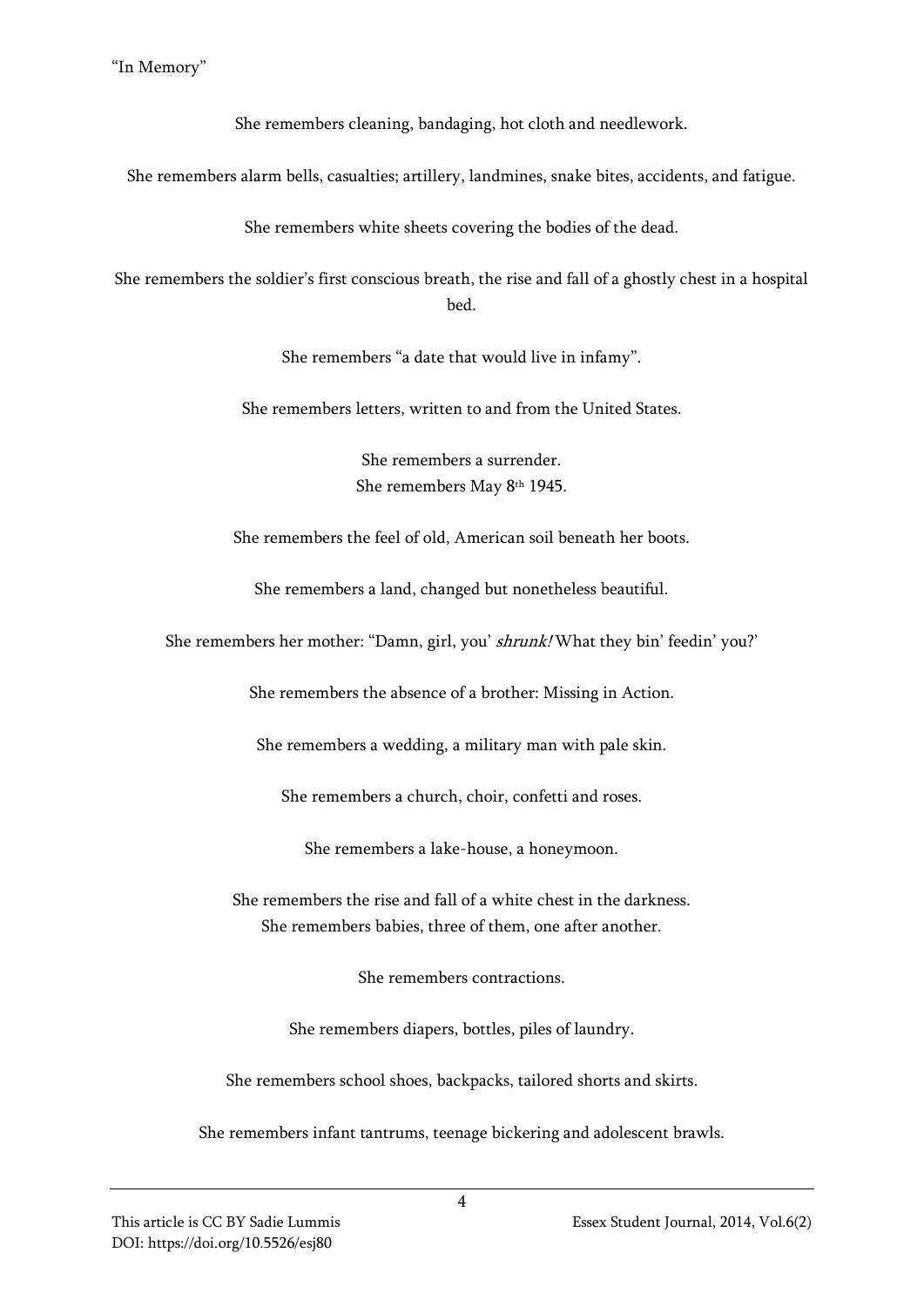She remembers cleaning, bandaging, hot cloth and needlework.

She remembers alarm bells, casualties; artillery, landmines, snake bites, accidents, and fatigue.

She remembers white sheets covering the bodies of the dead.

She remembers the soldier's first conscious breath, the rise and fall of a ghostly chest in a hospital bed.

She remembers "a date that would live in infamy".

She remembers letters, written to and from the United States.

She remembers a surrender. She remembers May 8<sup>th</sup> 1945.

She remembers the feel of old, American soil beneath her boots.

She remembers a land, changed but nonetheless beautiful.

She remembers her mother: "Damn, girl, you' shrunk! What they bin' feedin' you?'

She remembers the absence of a brother: Missing in Action.

She remembers a wedding, a military man with pale skin.

She remembers a church, choir, confetti and roses.

She remembers a lake-house, a honeymoon.

She remembers the rise and fall of a white chest in the darkness. She remembers babies, three of them, one after another.

She remembers contractions.

She remembers diapers, bottles, piles of laundry.

She remembers school shoes, backpacks, tailored shorts and skirts.

She remembers infant tantrums, teenage bickering and adolescent brawls.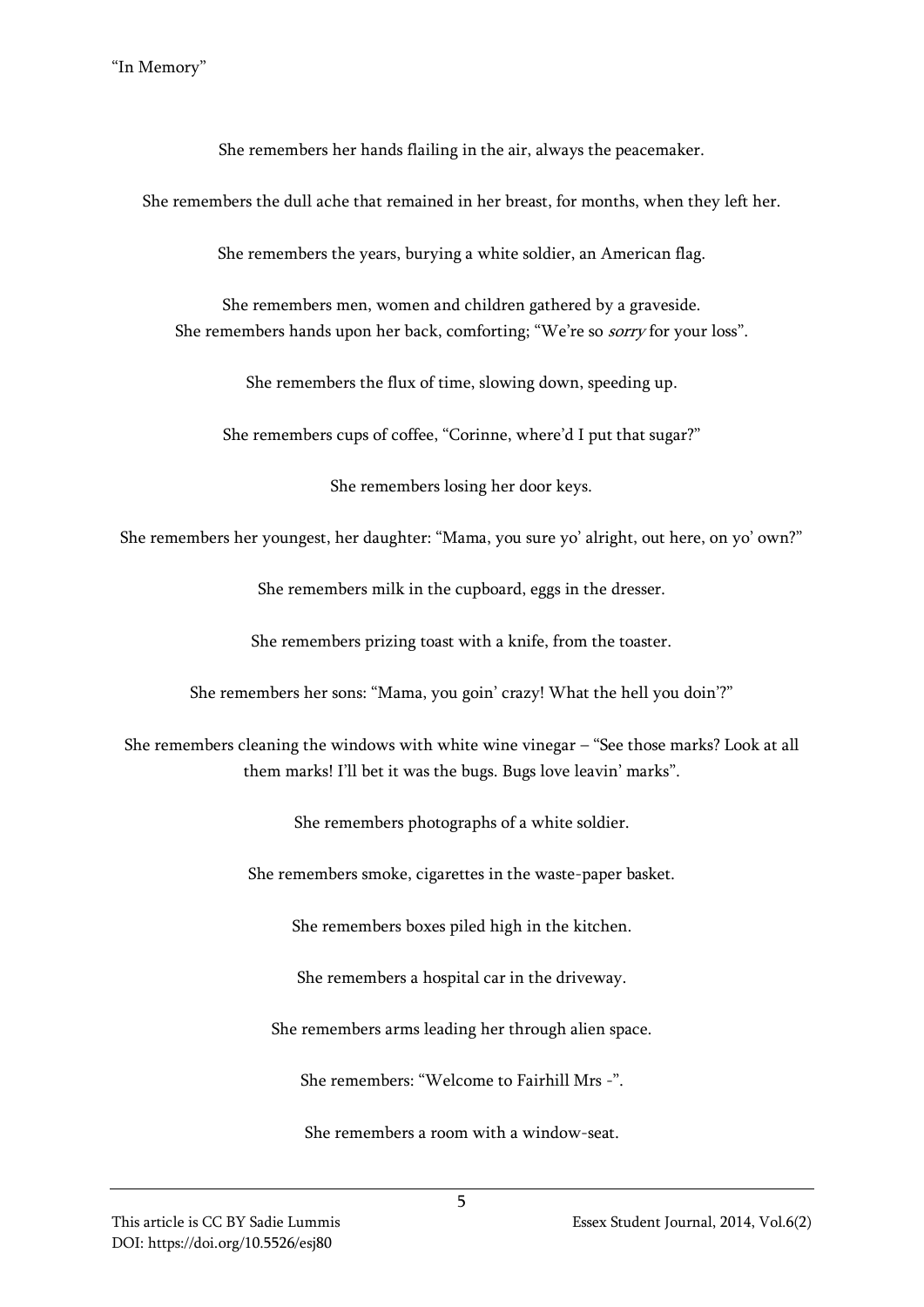She remembers her hands flailing in the air, always the peacemaker.

She remembers the dull ache that remained in her breast, for months, when they left her.

She remembers the years, burying a white soldier, an American flag.

She remembers men, women and children gathered by a graveside. She remembers hands upon her back, comforting; "We're so sorry for your loss".

She remembers the flux of time, slowing down, speeding up.

She remembers cups of coffee, "Corinne, where'd I put that sugar?"

She remembers losing her door keys.

She remembers her youngest, her daughter: "Mama, you sure yo' alright, out here, on yo' own?"

She remembers milk in the cupboard, eggs in the dresser.

She remembers prizing toast with a knife, from the toaster.

She remembers her sons: "Mama, you goin' crazy! What the hell you doin'?"

She remembers cleaning the windows with white wine vinegar – "See those marks? Look at all them marks! I'll bet it was the bugs. Bugs love leavin' marks".

She remembers photographs of a white soldier.

She remembers smoke, cigarettes in the waste-paper basket.

She remembers boxes piled high in the kitchen.

She remembers a hospital car in the driveway.

She remembers arms leading her through alien space.

She remembers: "Welcome to Fairhill Mrs -".

She remembers a room with a window-seat.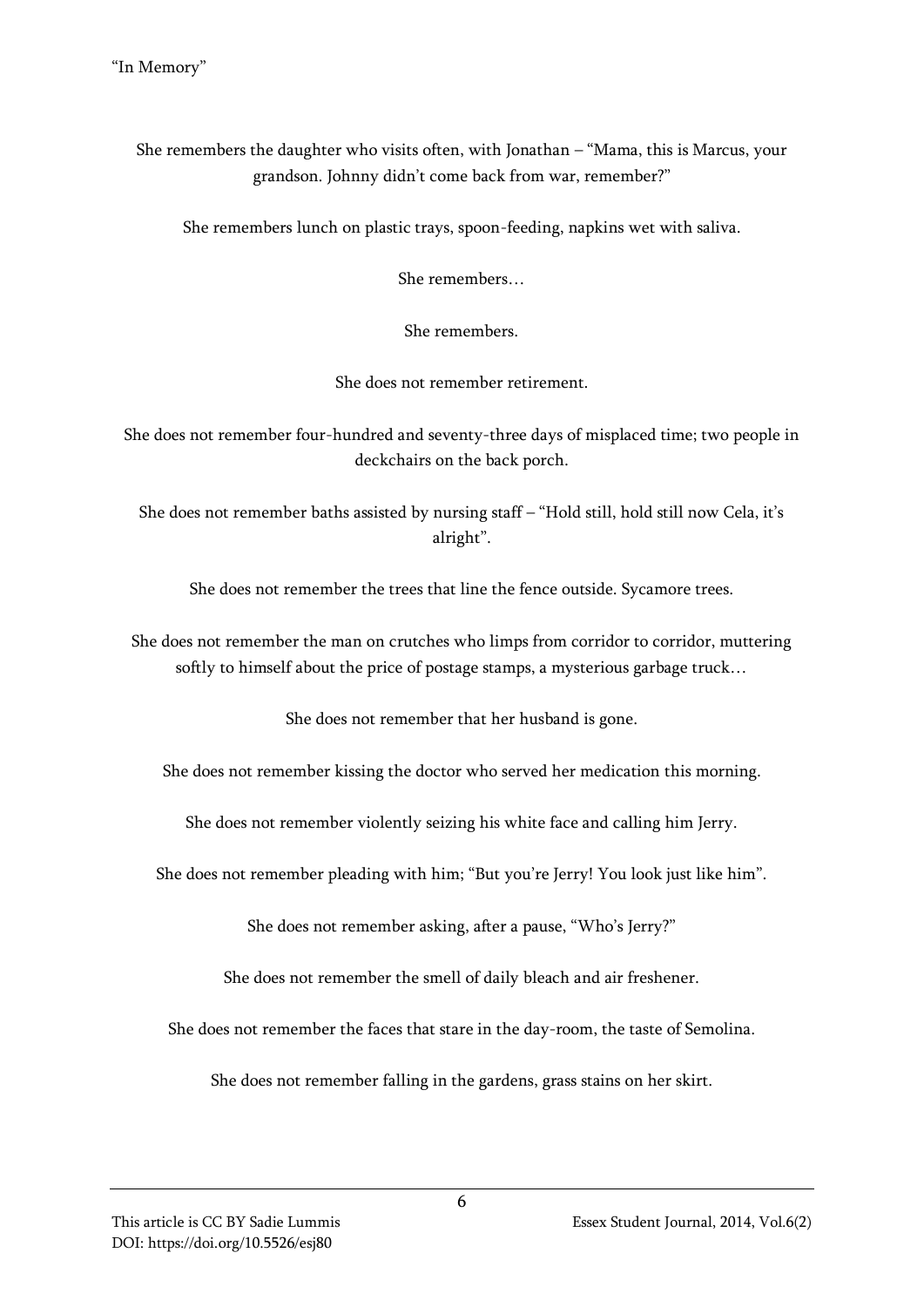She remembers the daughter who visits often, with Jonathan – "Mama, this is Marcus, your grandson. Johnny didn't come back from war, remember?"

She remembers lunch on plastic trays, spoon-feeding, napkins wet with saliva.

She remembers…

She remembers.

She does not remember retirement.

She does not remember four-hundred and seventy-three days of misplaced time; two people in deckchairs on the back porch.

She does not remember baths assisted by nursing staff – "Hold still, hold still now Cela, it's alright".

She does not remember the trees that line the fence outside. Sycamore trees.

She does not remember the man on crutches who limps from corridor to corridor, muttering softly to himself about the price of postage stamps, a mysterious garbage truck…

She does not remember that her husband is gone.

She does not remember kissing the doctor who served her medication this morning.

She does not remember violently seizing his white face and calling him Jerry.

She does not remember pleading with him; "But you're Jerry! You look just like him".

She does not remember asking, after a pause, "Who's Jerry?"

She does not remember the smell of daily bleach and air freshener.

She does not remember the faces that stare in the day-room, the taste of Semolina.

She does not remember falling in the gardens, grass stains on her skirt.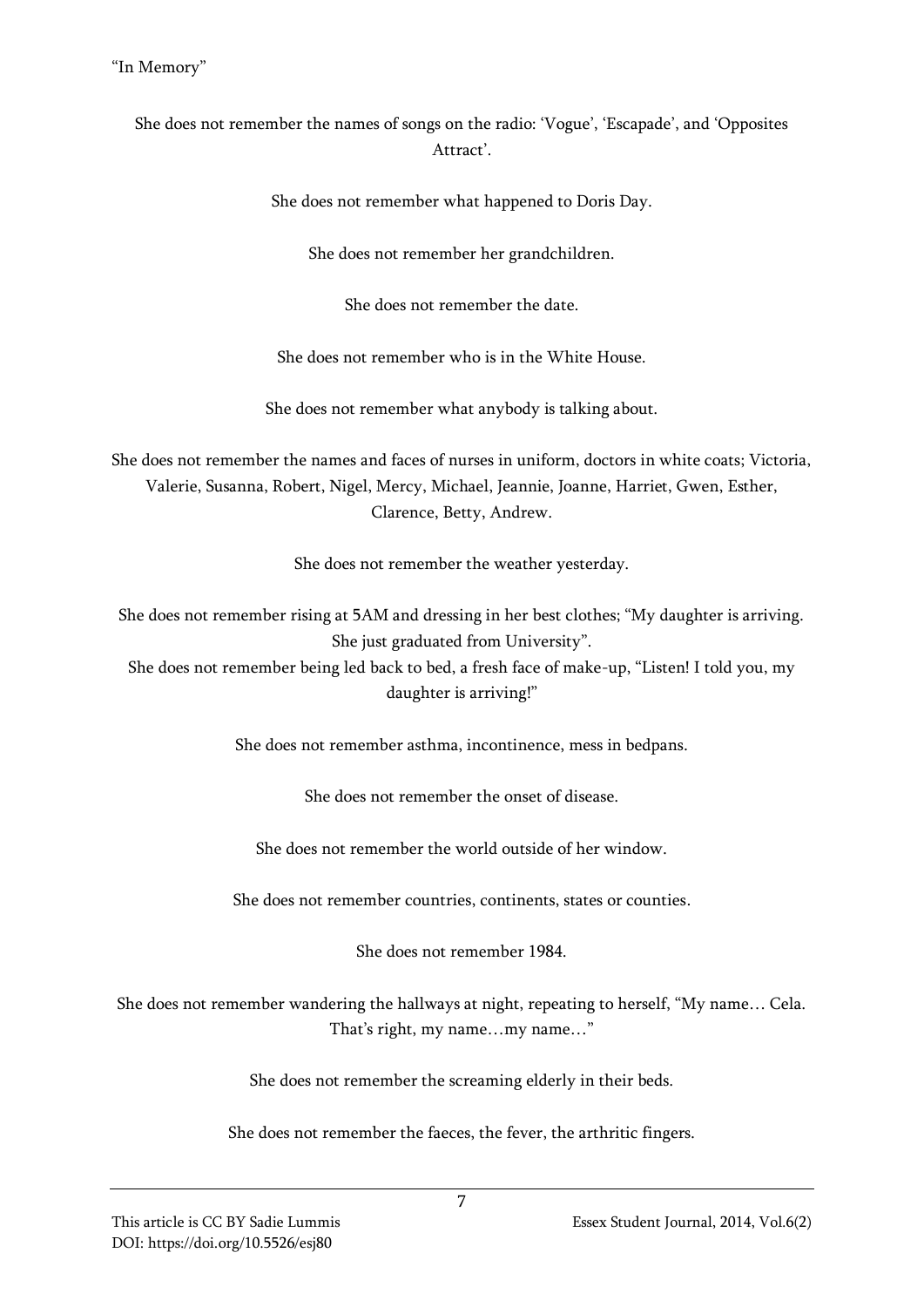She does not remember the names of songs on the radio: 'Vogue', 'Escapade', and 'Opposites Attract'.

She does not remember what happened to Doris Day.

She does not remember her grandchildren.

She does not remember the date.

She does not remember who is in the White House.

She does not remember what anybody is talking about.

She does not remember the names and faces of nurses in uniform, doctors in white coats; Victoria, Valerie, Susanna, Robert, Nigel, Mercy, Michael, Jeannie, Joanne, Harriet, Gwen, Esther, Clarence, Betty, Andrew.

She does not remember the weather yesterday.

She does not remember rising at 5AM and dressing in her best clothes; "My daughter is arriving. She just graduated from University".

She does not remember being led back to bed, a fresh face of make-up, "Listen! I told you, my daughter is arriving!"

She does not remember asthma, incontinence, mess in bedpans.

She does not remember the onset of disease.

She does not remember the world outside of her window.

She does not remember countries, continents, states or counties.

She does not remember 1984.

She does not remember wandering the hallways at night, repeating to herself, "My name… Cela. That's right, my name…my name…"

She does not remember the screaming elderly in their beds.

She does not remember the faeces, the fever, the arthritic fingers.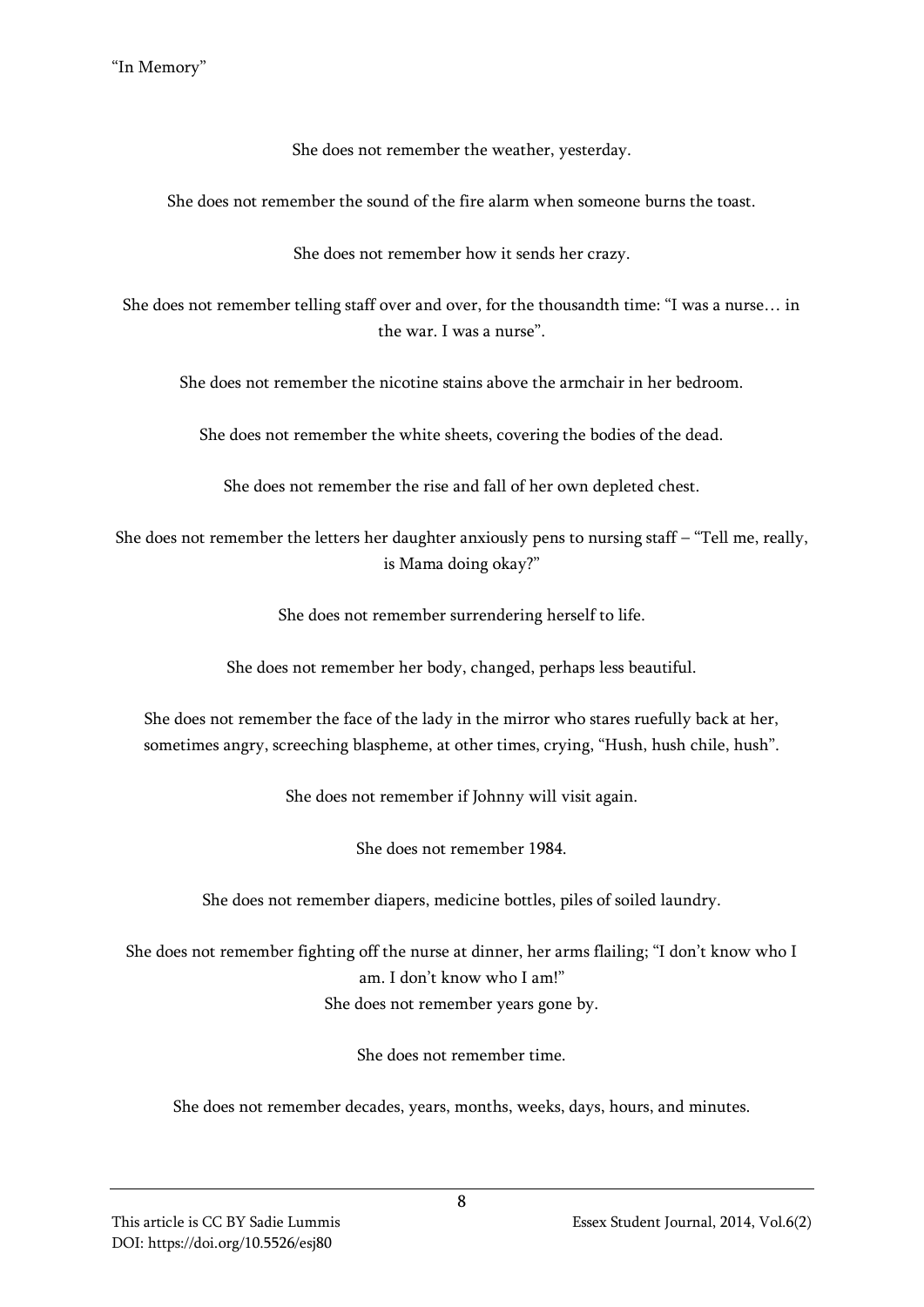She does not remember the weather, yesterday.

She does not remember the sound of the fire alarm when someone burns the toast.

She does not remember how it sends her crazy.

She does not remember telling staff over and over, for the thousandth time: "I was a nurse… in the war. I was a nurse".

She does not remember the nicotine stains above the armchair in her bedroom.

She does not remember the white sheets, covering the bodies of the dead.

She does not remember the rise and fall of her own depleted chest.

She does not remember the letters her daughter anxiously pens to nursing staff – "Tell me, really, is Mama doing okay?"

She does not remember surrendering herself to life.

She does not remember her body, changed, perhaps less beautiful.

She does not remember the face of the lady in the mirror who stares ruefully back at her, sometimes angry, screeching blaspheme, at other times, crying, "Hush, hush chile, hush".

She does not remember if Johnny will visit again.

She does not remember 1984.

She does not remember diapers, medicine bottles, piles of soiled laundry.

She does not remember fighting off the nurse at dinner, her arms flailing; "I don't know who I am. I don't know who I am!" She does not remember years gone by.

She does not remember time.

She does not remember decades, years, months, weeks, days, hours, and minutes.